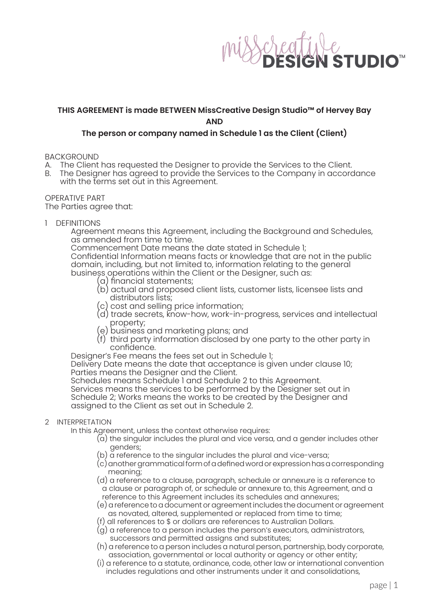

## **THIS AGREEMENT is made BETWEEN MissCreative Design Studio™ of Hervey Bay AND**

## **The person or company named in Schedule 1 as the Client (Client)**

BACKGROUND

- 
- A. The Client has requested the Designer to provide the Services to the Client.<br>B. The Designer has agreed to provide the Services to the Company in accord The Designer has agreed to provide the Services to the Company in accordance with the terms set out in this Agreement.

OPERATIVE PART The Parties agree that:

1 DEFINITIONS

Agreement means this Agreement, including the Background and Schedules, as amended from time to time.

Commencement Date means the date stated in Schedule 1;

 Confidential Information means facts or knowledge that are not in the public domain, including, but not limited to, information relating to the general business operations within the Client or the Designer, such as:

- (a) financial statements;
- (b) actual and proposed client lists, customer lists, licensee lists and distributors lists;
- (c) cost and selling price information;
- (d) trade secrets, know-how, work-in-progress, services and intellectual property;
- (e) business and marketing plans; and
- (f) third party information disclosed by one party to the other party in confidence.

Designer's Fee means the fees set out in Schedule 1;

Delivery Date means the date that acceptance is given under clause 10; Parties means the Designer and the Client.

Schedules means Schedule 1 and Schedule 2 to this Agreement.

 Services means the services to be performed by the Designer set out in Schedule 2; Works means the works to be created by the Designer and assigned to the Client as set out in Schedule 2.

### 2 INTERPRETATION

In this Agreement, unless the context otherwise requires:

- (a) the singular includes the plural and vice versa, and a gender includes other genders;
- (b) a reference to the singular includes the plural and vice-versa;
- (c)anothergrammaticalformofadefined wordorexpressionhasacorresponding meaning;
- (d) a reference to a clause, paragraph, schedule or annexure is a reference to a clause or paragraph of, or schedule or annexure to, this Agreement, and a reference to this Agreement includes its schedules and annexures;
- (e) a reference to a document or agreement includes the document or agreement as novated, altered, supplemented or replaced from time to time;
- (f) all references to \$ or dollars are references to Australian Dollars.
- (g) a reference to a person includes the person's executors, administrators, successors and permitted assigns and substitutes;
- (h) a reference to a person includes a natural person, partnership, body corporate, association, governmental or local authority or agency or other entity;
- (i) a reference to a statute, ordinance, code, other law or international convention includes regulations and other instruments under it and consolidations,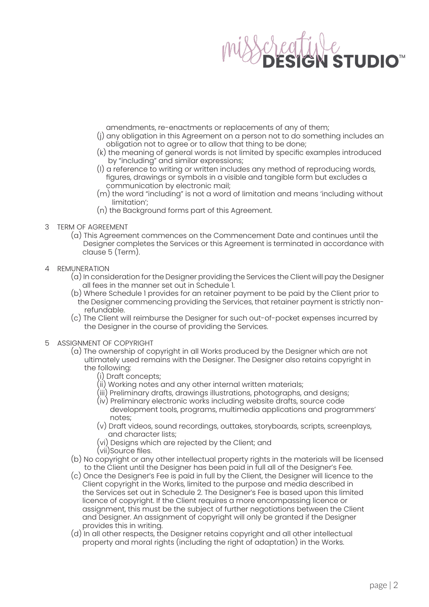

- amendments, re-enactments or replacements of any of them;
- (j) any obligation in this Agreement on a person not to do something includes an obligation not to agree or to allow that thing to be done;
- (k) the meaning of general words is not limited by specific examples introduced by "including" and similar expressions;
- (l) a reference to writing or written includes any method of reproducing words, figures, drawings or symbols in a visible and tangible form but excludes a communication by electronic mail;
- (m) the word "including" is not a word of limitation and means 'including without limitation';
- (n) the Background forms part of this Agreement.
- 3 TERM OF AGREEMENT
	- (a) This Agreement commences on the Commencement Date and continues until the Designer completes the Services or this Agreement is terminated in accordance with clause 5 (Term).
- 4 REMUNERATION
	- (a) In consideration for the Designer providing the Services the Client will pay the Designer all fees in the manner set out in Schedule 1.
	- (b) Where Schedule 1 provides for an retainer payment to be paid by the Client prior to the Designer commencing providing the Services, that retainer payment is strictly non refundable.
	- (c) The Client will reimburse the Designer for such out-of-pocket expenses incurred by the Designer in the course of providing the Services.
- 5 ASSIGNMENT OF COPYRIGHT
	- (a) The ownership of copyright in all Works produced by the Designer which are not ultimately used remains with the Designer. The Designer also retains copyright in the following:
		- (i) Draft concepts;
		- (ii) Working notes and any other internal written materials;
		- (iii) Preliminary drafts, drawings illustrations, photographs, and designs;
		- (iv) Preliminary electronic works including website drafts, source code development tools, programs, multimedia applications and programmers' notes;
		- (v) Draft videos, sound recordings, outtakes, storyboards, scripts, screenplays, and character lists;
		- (vi) Designs which are rejected by the Client; and
		- (vii)Source files.
	- (b) No copyright or any other intellectual property rights in the materials will be licensed to the Client until the Designer has been paid in full all of the Designer's Fee.
	- (c) Once the Designer's Fee is paid in full by the Client, the Designer will licence to the Client copyright in the Works, limited to the purpose and media described in the Services set out in Schedule 2. The Designer's Fee is based upon this limited licence of copyright. If the Client requires a more encompassing licence or assignment, this must be the subject of further negotiations between the Client and Designer. An assignment of copyright will only be granted if the Designer provides this in writing.
	- (d) In all other respects, the Designer retains copyright and all other intellectual property and moral rights (including the right of adaptation) in the Works.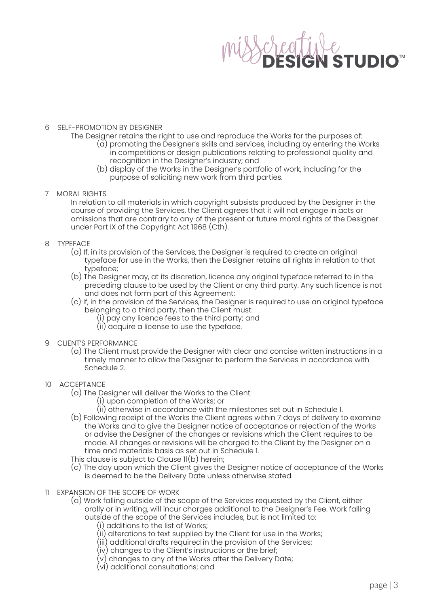

### 6 SELF-PROMOTION BY DESIGNER

- The Designer retains the right to use and reproduce the Works for the purposes of: (a) promoting the Designer's skills and services, including by entering the Works in competitions or design publications relating to professional quality and recognition in the Designer's industry; and
	- (b) display of the Works in the Designer's portfolio of work, including for the purpose of soliciting new work from third parties.
- 7 MORAL RIGHTS
	- In relation to all materials in which copyright subsists produced by the Designer in the course of providing the Services, the Client agrees that it will not engage in acts or omissions that are contrary to any of the present or future moral rights of the Designer under Part IX of the Copyright Act 1968 (Cth).
- 8 TYPEFACE
	- (a) If, in its provision of the Services, the Designer is required to create an original typeface for use in the Works, then the Designer retains all rights in relation to that typeface;
	- (b) The Designer may, at its discretion, licence any original typeface referred to in the preceding clause to be used by the Client or any third party. Any such licence is not and does not form part of this Agreement;
	- (c) If, in the provision of the Services, the Designer is required to use an original typeface belonging to a third party, then the Client must:
		- (i) pay any licence fees to the third party; and
		- (ii) acquire a license to use the typeface.
- 9 CLIENT'S PERFORMANCE
	- (a) The Client must provide the Designer with clear and concise written instructions in a timely manner to allow the Designer to perform the Services in accordance with Schedule 2.
- 10 ACCEPTANCE
	- (a) The Designer will deliver the Works to the Client:
		- (i) upon completion of the Works; or
		- (ii) otherwise in accordance with the milestones set out in Schedule 1.
	- (b) Following receipt of the Works the Client agrees within 7 days of delivery to examine the Works and to give the Designer notice of acceptance or rejection of the Works or advise the Designer of the changes or revisions which the Client requires to be made. All changes or revisions will be charged to the Client by the Designer on a time and materials basis as set out in Schedule 1.
	- This clause is subject to Clause 11(b) herein;
	- (c) The day upon which the Client gives the Designer notice of acceptance of the Works is deemed to be the Delivery Date unless otherwise stated.
- 11 EXPANSION OF THE SCOPE OF WORK
	- (a) Work falling outside of the scope of the Services requested by the Client, either orally or in writing, will incur charges additional to the Designer's Fee. Work falling outside of the scope of the Services includes, but is not limited to:
		- (i) additions to the list of Works;
		- (ii) alterations to text supplied by the Client for use in the Works;
		- (iii) additional drafts required in the provision of the Services;
		- (iv) changes to the Client's instructions or the brief;
		- (v) changes to any of the Works after the Delivery Date;
		- (vi) additional consultations; and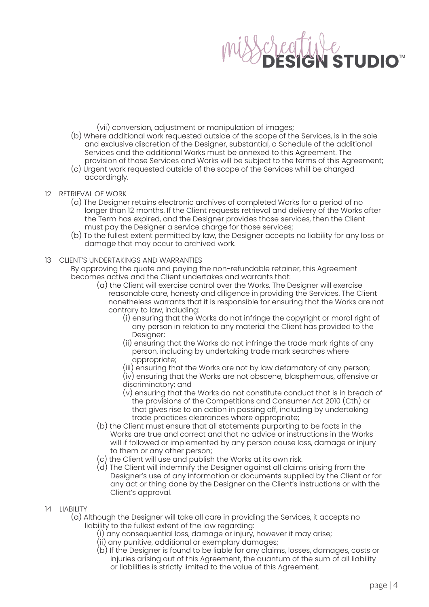

(vii) conversion, adjustment or manipulation of images;

- (b) Where additional work requested outside of the scope of the Services, is in the sole and exclusive discretion of the Designer, substantial, a Schedule of the additional Services and the additional Works must be annexed to this Agreement. The provision of those Services and Works will be subject to the terms of this Agreement;
- (c) Urgent work requested outside of the scope of the Services whill be charged accordingly.
- 12 RETRIEVAL OF WORK
	- (a) The Designer retains electronic archives of completed Works for a period of no longer than 12 months. If the Client requests retrieval and delivery of the Works after the Term has expired, and the Designer provides those services, then the Client must pay the Designer a service charge for those services;
	- (b) To the fullest extent permitted by law, the Designer accepts no liability for any loss or damage that may occur to archived work.

### 13 CLIENT'S UNDERTAKINGS AND WARRANTIES

 By approving the quote and paying the non-refundable retainer, this Agreement becomes active and the Client undertakes and warrants that:

- (a) the Client will exercise control over the Works. The Designer will exercise reasonable care, honesty and diligence in providing the Services. The Client nonetheless warrants that it is responsible for ensuring that the Works are not contrary to law, including:
	- (i) ensuring that the Works do not infringe the copyright or moral right of any person in relation to any material the Client has provided to the Designer;
	- (ii) ensuring that the Works do not infringe the trade mark rights of any person, including by undertaking trade mark searches where appropriate;
	- (iii) ensuring that the Works are not by law defamatory of any person;
	- (iv) ensuring that the Works are not obscene, blasphemous, offensive or discriminatory; and
	- (v) ensuring that the Works do not constitute conduct that is in breach of the provisions of the Competitions and Consumer Act 2010 (Cth) or that gives rise to an action in passing off, including by undertaking trade practices clearances where appropriate;
- (b) the Client must ensure that all statements purporting to be facts in the Works are true and correct and that no advice or instructions in the Works will if followed or implemented by any person cause loss, damage or injury to them or any other person;
- (c) the Client will use and publish the Works at its own risk.
- (d) The Client will indemnify the Designer against all claims arising from the Designer's use of any information or documents supplied by the Client or for any act or thing done by the Designer on the Client's instructions or with the Client's approval.
- 14 LIABILITY
	- (a) Although the Designer will take all care in providing the Services, it accepts no liability to the fullest extent of the law regarding:
		- (i) any consequential loss, damage or injury, however it may arise;
		- (ii) any punitive, additional or exemplary damages;
		- (b) If the Designer is found to be liable for any claims, losses, damages, costs or injuries arising out of this Agreement, the quantum of the sum of all liability or liabilities is strictly limited to the value of this Agreement.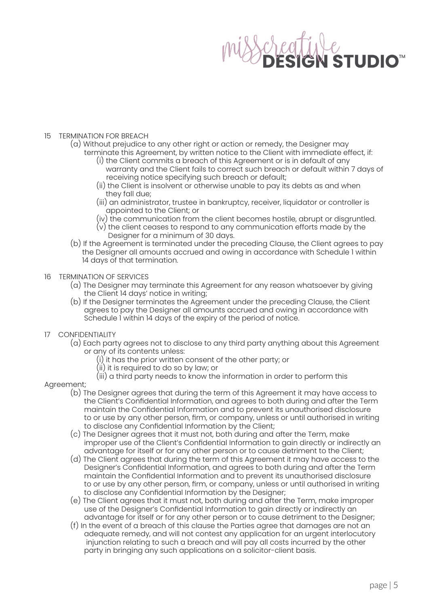# **STUDIO<sup>™</sup>**

### 15 TERMINATION FOR BREACH

- (a) Without prejudice to any other right or action or remedy, the Designer may terminate this Agreement, by written notice to the Client with immediate effect, if:
	- (i) the Client commits a breach of this Agreement or is in default of any warranty and the Client fails to correct such breach or default within 7 days of receiving notice specifying such breach or default;
	- (ii) the Client is insolvent or otherwise unable to pay its debts as and when they fall due;
	- (iii) an administrator, trustee in bankruptcy, receiver, liquidator or controller is appointed to the Client; or
	- (iv) the communication from the client becomes hostile, abrupt or disgruntled.
	- (v) the client ceases to respond to any communication efforts made by the Designer for a minimum of 30 days.
- (b) If the Agreement is terminated under the preceding Clause, the Client agrees to pay the Designer all amounts accrued and owing in accordance with Schedule 1 within 14 days of that termination.
- 16 TERMINATION OF SERVICES
	- (a) The Designer may terminate this Agreement for any reason whatsoever by giving the Client 14 days' notice in writing;
	- (b) If the Designer terminates the Agreement under the preceding Clause, the Client agrees to pay the Designer all amounts accrued and owing in accordance with Schedule 1 within 14 days of the expiry of the period of notice.
- 17 CONFIDENTIALITY
	- (a) Each party agrees not to disclose to any third party anything about this Agreement or any of its contents unless:
		- $(i)$  it has the prior written consent of the other party; or
		- (ii) it is required to do so by law; or
		- (iii) a third party needs to know the information in order to perform this

### Agreement;

- (b) The Designer agrees that during the term of this Agreement it may have access to the Client's Confidential Information, and agrees to both during and after the Term maintain the Confidential Information and to prevent its unauthorised disclosure to or use by any other person, firm, or company, unless or until authorised in writing to disclose any Confidential Information by the Client;
- (c) The Designer agrees that it must not, both during and after the Term, make improper use of the Client's Confidential Information to gain directly or indirectly an advantage for itself or for any other person or to cause detriment to the Client;
- (d) The Client agrees that during the term of this Agreement it may have access to the Designer's Confidential Information, and agrees to both during and after the Term maintain the Confidential Information and to prevent its unauthorised disclosure to or use by any other person, firm, or company, unless or until authorised in writing to disclose any Confidential Information by the Designer;
- (e) The Client agrees that it must not, both during and after the Term, make improper use of the Designer's Confidential Information to gain directly or indirectly an advantage for itself or for any other person or to cause detriment to the Designer;
- (f) In the event of a breach of this clause the Parties agree that damages are not an adequate remedy, and will not contest any application for an urgent interlocutory injunction relating to such a breach and will pay all costs incurred by the other party in bringing any such applications on a solicitor-client basis.